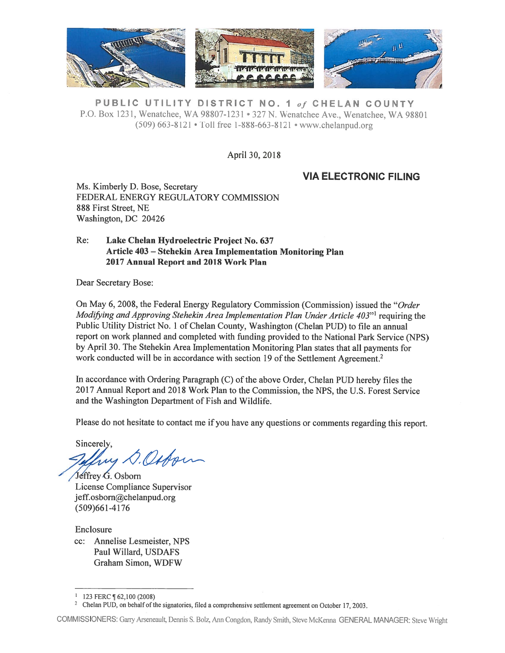

PUBLIC UTILITY DISTRICT NO. 1 of CHELAN COUNTY P.O. Box 1231, Wenatchee, WA 98807-1231 • 327 N. Wenatchee Ave., Wenatchee, WA 98801 (509) 663-8121 • ToLl free 1-888-663-8121 • www.chelanpud.org

April 30, 2018

## VIA ELECTRONIC FILING

Ms. Kimberly D. Bose, Secretary FEDERAL ENERGY REGULATORY COMMISSION 888 first Street, NE Washington, DC 20426

### Re: Lake Chelan Hydroelectric Project No. 637 Article 403 — Stehekin Area Implementation Monitoring Plan 2017 Annual Report and 201\$ Work Plan

Dear Secretary Bose:

On May 6, 2008, the Federal Energy Regulatory Commission (Commission) isstied the "Order Modifying and Approving Stehekin Area Implementation Plan Under Article  $403"$  requiring the Public Utility District No. 1 of Chelan County, Washington (Chelan PUD) to file an annual repor<sup>t</sup> on work <sup>p</sup>lanned and completed with funding provided to the National Park Service (NPS) by April 30. The Stehekin Area Implementation Monitoring Plan states that all payments for work conducted will be in accordance with section 19 of the Settlement Agreement.<sup>2</sup>

In accordance with Ordering Paragraph  $(C)$  of the above Order, Chelan PUD hereby files the 2017 Annual Report and 2018 Work Plan to the Commission, the NPS, the U.S. Forest Service and the Washington Department of Fish and Wildlife.

Please do not hesitate to contact me if you have any questions or comments regarding this report.

Sincerely. my D. Osborn

Jeffrey G. Osborn License Compliance Supervisor jeff.osborn@chelanpud.org (509)661-4176

Enclosure cc: Annelise Lesmeister, NPS Paul Willard, USDAFS Graham Simon, WDfW

COMMISSIONERS: Gany Arseneault, Dennis S. Bolz, Mn Congdon, Randy Smith, Steve McKenna GENERAL MANAGER: Steve Wright

<sup>123</sup> FERC ¶ 62,100 (2008)<br>Chelan PUD, on behalf of the signatories, filed a comprehensive settlement agreement on October 17, 2003.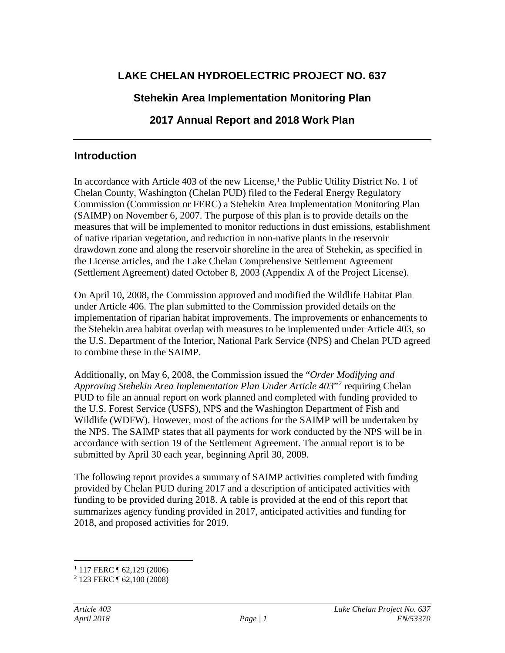# **LAKE CHELAN HYDROELECTRIC PROJECT NO. 637**

## **Stehekin Area Implementation Monitoring Plan**

# **2017 Annual Report and 2018 Work Plan**

## **Introduction**

In accordance with Article 403 of the new License,<sup>[1](#page-1-0)</sup> the Public Utility District No. 1 of Chelan County, Washington (Chelan PUD) filed to the Federal Energy Regulatory Commission (Commission or FERC) a Stehekin Area Implementation Monitoring Plan (SAIMP) on November 6, 2007. The purpose of this plan is to provide details on the measures that will be implemented to monitor reductions in dust emissions, establishment of native riparian vegetation, and reduction in non-native plants in the reservoir drawdown zone and along the reservoir shoreline in the area of Stehekin, as specified in the License articles, and the Lake Chelan Comprehensive Settlement Agreement (Settlement Agreement) dated October 8, 2003 (Appendix A of the Project License).

On April 10, 2008, the Commission approved and modified the Wildlife Habitat Plan under Article 406. The plan submitted to the Commission provided details on the implementation of riparian habitat improvements. The improvements or enhancements to the Stehekin area habitat overlap with measures to be implemented under Article 403, so the U.S. Department of the Interior, National Park Service (NPS) and Chelan PUD agreed to combine these in the SAIMP.

Additionally, on May 6, 2008, the Commission issued the "*Order Modifying and Approving Stehekin Area Implementation Plan Under Article 403*"[2](#page-1-1) requiring Chelan PUD to file an annual report on work planned and completed with funding provided to the U.S. Forest Service (USFS), NPS and the Washington Department of Fish and Wildlife (WDFW). However, most of the actions for the SAIMP will be undertaken by the NPS. The SAIMP states that all payments for work conducted by the NPS will be in accordance with section 19 of the Settlement Agreement. The annual report is to be submitted by April 30 each year, beginning April 30, 2009.

The following report provides a summary of SAIMP activities completed with funding provided by Chelan PUD during 2017 and a description of anticipated activities with funding to be provided during 2018. A table is provided at the end of this report that summarizes agency funding provided in 2017, anticipated activities and funding for 2018, and proposed activities for 2019.

<sup>&</sup>lt;sup>1</sup> 117 FERC ¶ 62,129 (2006)

<span id="page-1-1"></span><span id="page-1-0"></span><sup>&</sup>lt;sup>2</sup> 123 FERC **1** 62,100 (2008)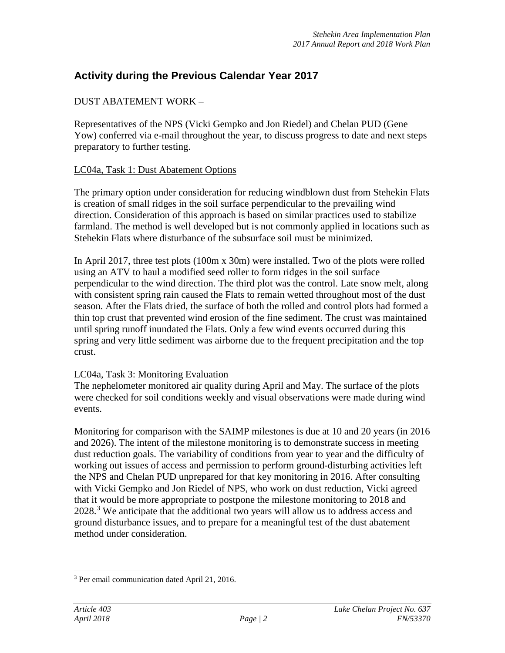## **Activity during the Previous Calendar Year 2017**

## DUST ABATEMENT WORK –

Representatives of the NPS (Vicki Gempko and Jon Riedel) and Chelan PUD (Gene Yow) conferred via e-mail throughout the year, to discuss progress to date and next steps preparatory to further testing.

## LC04a, Task 1: Dust Abatement Options

The primary option under consideration for reducing windblown dust from Stehekin Flats is creation of small ridges in the soil surface perpendicular to the prevailing wind direction. Consideration of this approach is based on similar practices used to stabilize farmland. The method is well developed but is not commonly applied in locations such as Stehekin Flats where disturbance of the subsurface soil must be minimized.

In April 2017, three test plots (100m x 30m) were installed. Two of the plots were rolled using an ATV to haul a modified seed roller to form ridges in the soil surface perpendicular to the wind direction. The third plot was the control. Late snow melt, along with consistent spring rain caused the Flats to remain wetted throughout most of the dust season. After the Flats dried, the surface of both the rolled and control plots had formed a thin top crust that prevented wind erosion of the fine sediment. The crust was maintained until spring runoff inundated the Flats. Only a few wind events occurred during this spring and very little sediment was airborne due to the frequent precipitation and the top crust.

## LC04a, Task 3: Monitoring Evaluation

The nephelometer monitored air quality during April and May. The surface of the plots were checked for soil conditions weekly and visual observations were made during wind events.

Monitoring for comparison with the SAIMP milestones is due at 10 and 20 years (in 2016 and 2026). The intent of the milestone monitoring is to demonstrate success in meeting dust reduction goals. The variability of conditions from year to year and the difficulty of working out issues of access and permission to perform ground-disturbing activities left the NPS and Chelan PUD unprepared for that key monitoring in 2016. After consulting with Vicki Gempko and Jon Riedel of NPS, who work on dust reduction, Vicki agreed that it would be more appropriate to postpone the milestone monitoring to 2018 and 2028.<sup>[3](#page-2-0)</sup> We anticipate that the additional two years will allow us to address access and ground disturbance issues, and to prepare for a meaningful test of the dust abatement method under consideration.

<span id="page-2-0"></span> <sup>3</sup> Per email communication dated April 21, 2016.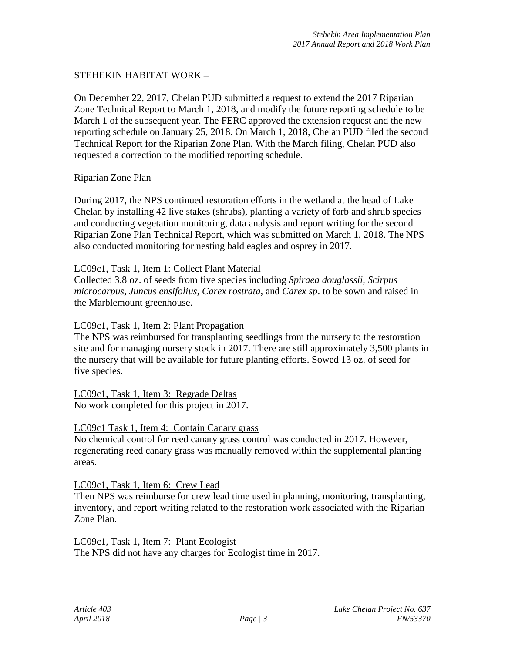## STEHEKIN HABITAT WORK –

On December 22, 2017, Chelan PUD submitted a request to extend the 2017 Riparian Zone Technical Report to March 1, 2018, and modify the future reporting schedule to be March 1 of the subsequent year. The FERC approved the extension request and the new reporting schedule on January 25, 2018. On March 1, 2018, Chelan PUD filed the second Technical Report for the Riparian Zone Plan. With the March filing, Chelan PUD also requested a correction to the modified reporting schedule.

### Riparian Zone Plan

During 2017, the NPS continued restoration efforts in the wetland at the head of Lake Chelan by installing 42 live stakes (shrubs), planting a variety of forb and shrub species and conducting vegetation monitoring, data analysis and report writing for the second Riparian Zone Plan Technical Report, which was submitted on March 1, 2018. The NPS also conducted monitoring for nesting bald eagles and osprey in 2017.

### LC09c1, Task 1, Item 1: Collect Plant Material

Collected 3.8 oz. of seeds from five species including *Spiraea douglassii, Scirpus microcarpus, Juncus ensifolius, Carex rostrata,* and *Carex sp*. to be sown and raised in the Marblemount greenhouse.

### LC09c1, Task 1, Item 2: Plant Propagation

The NPS was reimbursed for transplanting seedlings from the nursery to the restoration site and for managing nursery stock in 2017. There are still approximately 3,500 plants in the nursery that will be available for future planting efforts. Sowed 13 oz. of seed for five species.

LC09c1, Task 1, Item 3: Regrade Deltas No work completed for this project in 2017.

### LC09c1 Task 1, Item 4: Contain Canary grass

No chemical control for reed canary grass control was conducted in 2017. However, regenerating reed canary grass was manually removed within the supplemental planting areas.

## LC09c1, Task 1, Item 6: Crew Lead

Then NPS was reimburse for crew lead time used in planning, monitoring, transplanting, inventory, and report writing related to the restoration work associated with the Riparian Zone Plan.

LC09c1, Task 1, Item 7: Plant Ecologist The NPS did not have any charges for Ecologist time in 2017.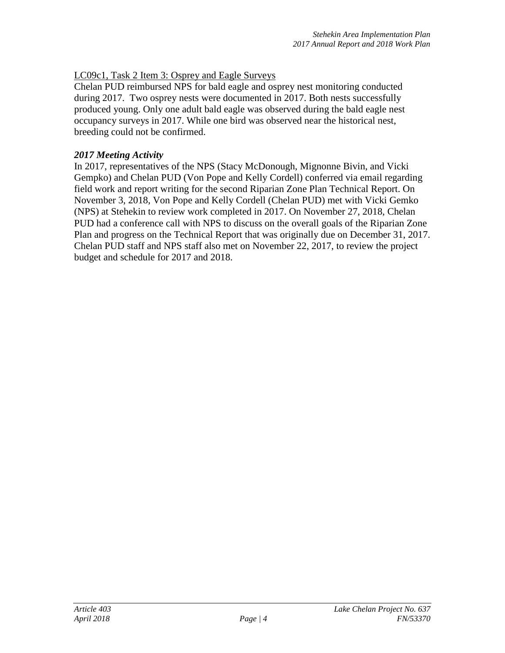## LC09c1, Task 2 Item 3: Osprey and Eagle Surveys

Chelan PUD reimbursed NPS for bald eagle and osprey nest monitoring conducted during 2017. Two osprey nests were documented in 2017. Both nests successfully produced young. Only one adult bald eagle was observed during the bald eagle nest occupancy surveys in 2017. While one bird was observed near the historical nest, breeding could not be confirmed.

### *2017 Meeting Activity*

In 2017, representatives of the NPS (Stacy McDonough, Mignonne Bivin, and Vicki Gempko) and Chelan PUD (Von Pope and Kelly Cordell) conferred via email regarding field work and report writing for the second Riparian Zone Plan Technical Report. On November 3, 2018, Von Pope and Kelly Cordell (Chelan PUD) met with Vicki Gemko (NPS) at Stehekin to review work completed in 2017. On November 27, 2018, Chelan PUD had a conference call with NPS to discuss on the overall goals of the Riparian Zone Plan and progress on the Technical Report that was originally due on December 31, 2017. Chelan PUD staff and NPS staff also met on November 22, 2017, to review the project budget and schedule for 2017 and 2018.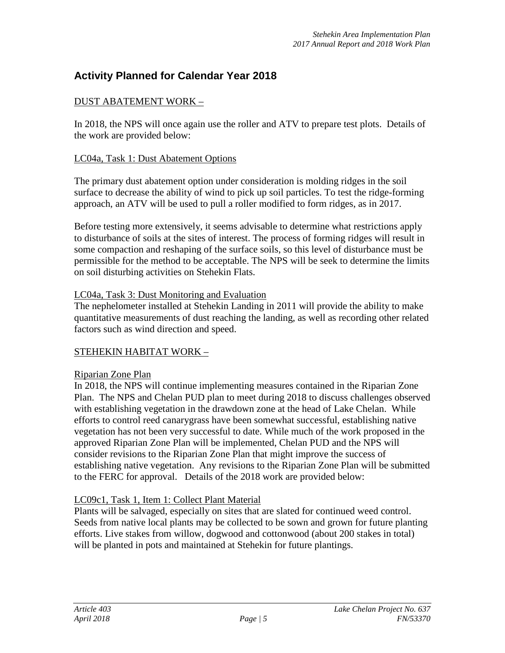## **Activity Planned for Calendar Year 2018**

## DUST ABATEMENT WORK –

In 2018, the NPS will once again use the roller and ATV to prepare test plots. Details of the work are provided below:

### LC04a, Task 1: Dust Abatement Options

The primary dust abatement option under consideration is molding ridges in the soil surface to decrease the ability of wind to pick up soil particles. To test the ridge-forming approach, an ATV will be used to pull a roller modified to form ridges, as in 2017.

Before testing more extensively, it seems advisable to determine what restrictions apply to disturbance of soils at the sites of interest. The process of forming ridges will result in some compaction and reshaping of the surface soils, so this level of disturbance must be permissible for the method to be acceptable. The NPS will be seek to determine the limits on soil disturbing activities on Stehekin Flats.

### LC04a, Task 3: Dust Monitoring and Evaluation

The nephelometer installed at Stehekin Landing in 2011 will provide the ability to make quantitative measurements of dust reaching the landing, as well as recording other related factors such as wind direction and speed.

## STEHEKIN HABITAT WORK –

### Riparian Zone Plan

In 2018, the NPS will continue implementing measures contained in the Riparian Zone Plan. The NPS and Chelan PUD plan to meet during 2018 to discuss challenges observed with establishing vegetation in the drawdown zone at the head of Lake Chelan. While efforts to control reed canarygrass have been somewhat successful, establishing native vegetation has not been very successful to date. While much of the work proposed in the approved Riparian Zone Plan will be implemented, Chelan PUD and the NPS will consider revisions to the Riparian Zone Plan that might improve the success of establishing native vegetation. Any revisions to the Riparian Zone Plan will be submitted to the FERC for approval. Details of the 2018 work are provided below:

## LC09c1, Task 1, Item 1: Collect Plant Material

Plants will be salvaged, especially on sites that are slated for continued weed control. Seeds from native local plants may be collected to be sown and grown for future planting efforts. Live stakes from willow, dogwood and cottonwood (about 200 stakes in total) will be planted in pots and maintained at Stehekin for future plantings.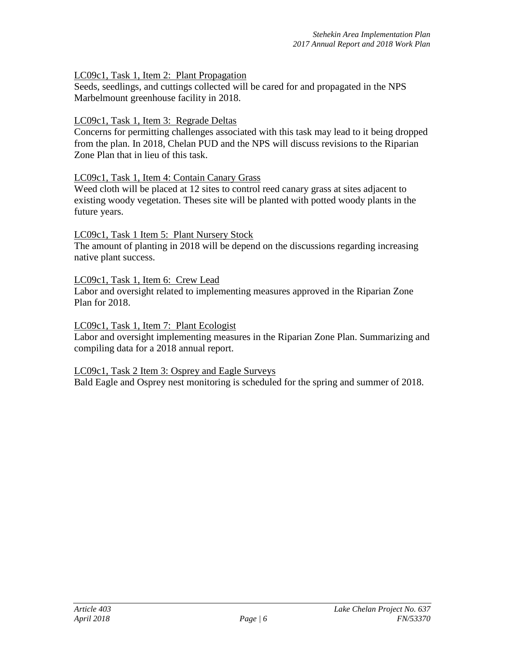## LC09c1, Task 1, Item 2: Plant Propagation

Seeds, seedlings, and cuttings collected will be cared for and propagated in the NPS Marbelmount greenhouse facility in 2018.

### LC09c1, Task 1, Item 3: Regrade Deltas

Concerns for permitting challenges associated with this task may lead to it being dropped from the plan. In 2018, Chelan PUD and the NPS will discuss revisions to the Riparian Zone Plan that in lieu of this task.

### LC09c1, Task 1, Item 4: Contain Canary Grass

Weed cloth will be placed at 12 sites to control reed canary grass at sites adjacent to existing woody vegetation. Theses site will be planted with potted woody plants in the future years.

### LC09c1, Task 1 Item 5: Plant Nursery Stock

The amount of planting in 2018 will be depend on the discussions regarding increasing native plant success.

### LC09c1, Task 1, Item 6: Crew Lead

Labor and oversight related to implementing measures approved in the Riparian Zone Plan for 2018.

### LC09c1, Task 1, Item 7: Plant Ecologist

Labor and oversight implementing measures in the Riparian Zone Plan. Summarizing and compiling data for a 2018 annual report.

### LC09c1, Task 2 Item 3: Osprey and Eagle Surveys

Bald Eagle and Osprey nest monitoring is scheduled for the spring and summer of 2018.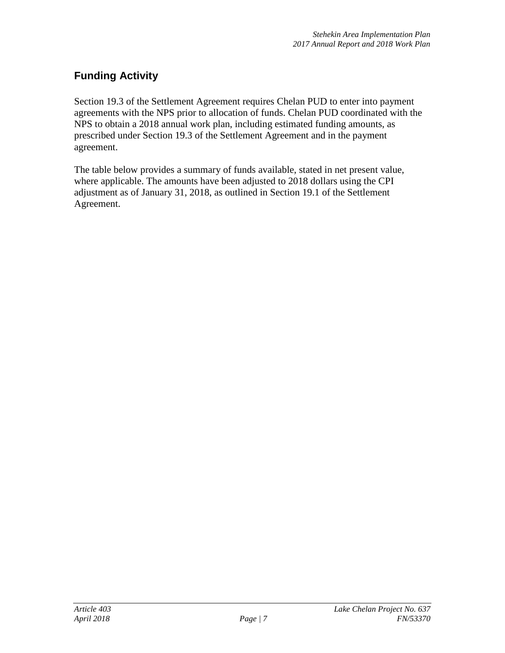# **Funding Activity**

Section 19.3 of the Settlement Agreement requires Chelan PUD to enter into payment agreements with the NPS prior to allocation of funds. Chelan PUD coordinated with the NPS to obtain a 2018 annual work plan, including estimated funding amounts, as prescribed under Section 19.3 of the Settlement Agreement and in the payment agreement.

The table below provides a summary of funds available, stated in net present value, where applicable. The amounts have been adjusted to 2018 dollars using the CPI adjustment as of January 31, 2018, as outlined in Section 19.1 of the Settlement Agreement.